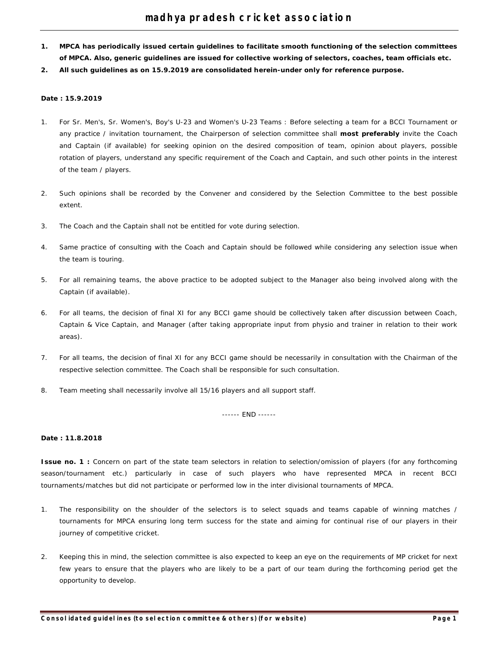- **1. MPCA has periodically issued certain guidelines to facilitate smooth functioning of the selection committees of MPCA. Also, generic guidelines are issued for collective working of selectors, coaches, team officials etc.**
- **2. All such guidelines as on 15.9.2019 are consolidated herein-under only for reference purpose.**

### **Date : 15.9.2019**

- 1. For Sr. Men's, Sr. Women's, Boy's U-23 and Women's U-23 Teams : Before selecting a team for a BCCI Tournament or any practice / invitation tournament, the Chairperson of selection committee shall **most preferably** invite the Coach and Captain (if available) for seeking opinion on the desired composition of team, opinion about players, possible rotation of players, understand any specific requirement of the Coach and Captain, and such other points in the interest of the team / players.
- 2. Such opinions shall be recorded by the Convener and considered by the Selection Committee to the best possible extent.
- 3. The Coach and the Captain shall not be entitled for vote during selection.
- 4. Same practice of consulting with the Coach and Captain should be followed while considering any selection issue when the team is touring.
- 5. For all remaining teams, the above practice to be adopted subject to the Manager also being involved along with the Captain (if available).
- 6. For all teams, the decision of final XI for any BCCI game should be collectively taken after discussion between Coach, Captain & Vice Captain, and Manager (after taking appropriate input from physio and trainer in relation to their work areas).
- 7. For all teams, the decision of final XI for any BCCI game should be necessarily in consultation with the Chairman of the respective selection committee. The Coach shall be responsible for such consultation.
- 8. Team meeting shall necessarily involve all 15/16 players and all support staff.

------ END ------

# **Date : 11.8.2018**

**Issue no. 1** : Concern on part of the state team selectors in relation to selection/omission of players (for any forthcoming season/tournament etc.) particularly in case of such players who have represented MPCA in recent BCCI tournaments/matches but did not participate or performed low in the inter divisional tournaments of MPCA.

- 1. The responsibility on the shoulder of the selectors is to select squads and teams capable of winning matches / tournaments for MPCA ensuring long term success for the state and aiming for continual rise of our players in their journey of competitive cricket.
- 2. Keeping this in mind, the selection committee is also expected to keep an eye on the requirements of MP cricket for next few years to ensure that the players who are likely to be a part of our team during the forthcoming period get the opportunity to develop.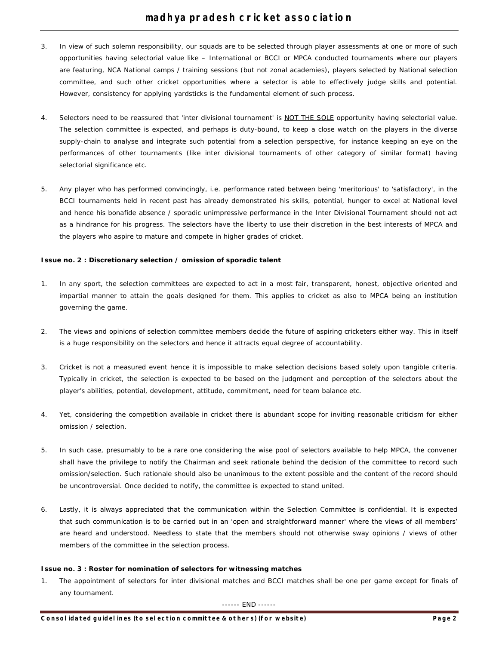- 3. In view of such solemn responsibility, our squads are to be selected through player assessments at one or more of such opportunities having selectorial value like – International or BCCI or MPCA conducted tournaments where our players are featuring, NCA National camps / training sessions (but not zonal academies), players selected by National selection committee, and such other cricket opportunities where a selector is able to effectively judge skills and potential. However, consistency for applying yardsticks is the fundamental element of such process.
- 4. Selectors need to be reassured that 'inter divisional tournament' is NOT THE SOLE opportunity having selectorial value. The selection committee is expected, and perhaps is duty-bound, to keep a close watch on the players in the diverse supply-chain to analyse and integrate such potential from a selection perspective, for instance keeping an eye on the performances of other tournaments (like inter divisional tournaments of other category of similar format) having selectorial significance etc.
- 5. Any player who has performed convincingly, i.e. performance rated between being 'meritorious' to 'satisfactory', in the BCCI tournaments held in recent past has already demonstrated his skills, potential, hunger to excel at National level and hence his bonafide absence / sporadic unimpressive performance in the Inter Divisional Tournament should not act as a hindrance for his progress. The selectors have the liberty to use their discretion in the best interests of MPCA and the players who aspire to mature and compete in higher grades of cricket.

# **Issue no. 2 : Discretionary selection / omission of sporadic talent**

- 1. In any sport, the selection committees are expected to act in a most fair, transparent, honest, objective oriented and impartial manner to attain the goals designed for them. This applies to cricket as also to MPCA being an institution governing the game.
- 2. The views and opinions of selection committee members decide the future of aspiring cricketers either way. This in itself is a huge responsibility on the selectors and hence it attracts equal degree of accountability.
- 3. Cricket is not a measured event hence it is impossible to make selection decisions based solely upon tangible criteria. Typically in cricket, the selection is expected to be based on the judgment and perception of the selectors about the player's abilities, potential, development, attitude, commitment, need for team balance etc.
- 4. Yet, considering the competition available in cricket there is abundant scope for inviting reasonable criticism for either omission / selection.
- 5. In such case, presumably to be a rare one considering the wise pool of selectors available to help MPCA, the convener shall have the privilege to notify the Chairman and seek rationale behind the decision of the committee to record such omission/selection. Such rationale should also be unanimous to the extent possible and the content of the record should be uncontroversial. Once decided to notify, the committee is expected to stand united.
- 6. Lastly, it is always appreciated that the communication within the Selection Committee is confidential. It is expected that such communication is to be carried out in an 'open and straightforward manner' where the views of all members' are heard and understood. Needless to state that the members should not otherwise sway opinions / views of other members of the committee in the selection process.

# **Issue no. 3 : Roster for nomination of selectors for witnessing matches**

1. The appointment of selectors for inter divisional matches and BCCI matches shall be one per game except for finals of any tournament.

------ END ------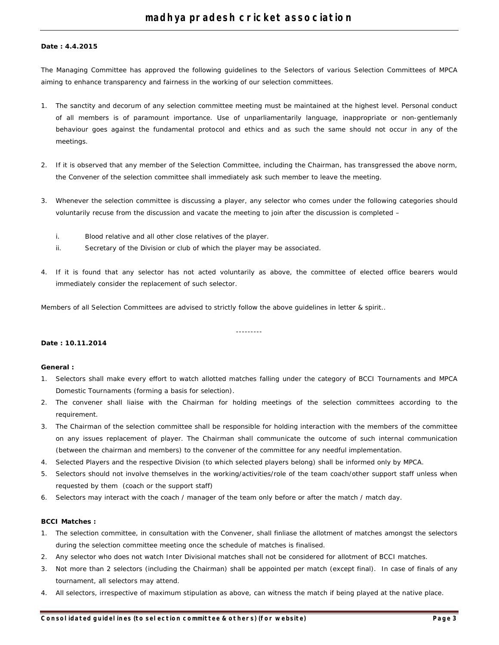### **Date : 4.4.2015**

The Managing Committee has approved the following guidelines to the Selectors of various Selection Committees of MPCA aiming to enhance transparency and fairness in the working of our selection committees.

- 1. The sanctity and decorum of any selection committee meeting must be maintained at the highest level. Personal conduct of all members is of paramount importance. Use of unparliamentarily language, inappropriate or non-gentlemanly behaviour goes against the fundamental protocol and ethics and as such the same should not occur in any of the meetings.
- 2. If it is observed that any member of the Selection Committee, including the Chairman, has transgressed the above norm, the Convener of the selection committee shall immediately ask such member to leave the meeting.
- 3. Whenever the selection committee is discussing a player, any selector who comes under the following categories should voluntarily recuse from the discussion and vacate the meeting to join after the discussion is completed –
	- i. Blood relative and all other close relatives of the player.
	- ii. Secretary of the Division or club of which the player may be associated.
- 4. If it is found that any selector has not acted voluntarily as above, the committee of elected office bearers would immediately consider the replacement of such selector.

---------

Members of all Selection Committees are advised to strictly follow the above guidelines in letter & spirit..

### **Date : 10.11.2014**

### **General :**

- 1. Selectors shall make every effort to watch allotted matches falling under the category of BCCI Tournaments and MPCA Domestic Tournaments (forming a basis for selection).
- 2. The convener shall liaise with the Chairman for holding meetings of the selection committees according to the requirement.
- 3. The Chairman of the selection committee shall be responsible for holding interaction with the members of the committee on any issues replacement of player. The Chairman shall communicate the outcome of such internal communication (between the chairman and members) to the convener of the committee for any needful implementation.
- 4. Selected Players and the respective Division (to which selected players belong) shall be informed only by MPCA.
- 5. Selectors should not involve themselves in the working/activities/role of the team coach/other support staff unless when requested by them (coach or the support staff)
- 6. Selectors may interact with the coach / manager of the team only before or after the match / match day.

### **BCCI Matches :**

- 1. The selection committee, in consultation with the Convener, shall finliase the allotment of matches amongst the selectors during the selection committee meeting once the schedule of matches is finalised.
- 2. Any selector who does not watch Inter Divisional matches shall not be considered for allotment of BCCI matches.
- 3. Not more than 2 selectors (including the Chairman) shall be appointed per match (except final). In case of finals of any tournament, all selectors may attend.
- 4. All selectors, irrespective of maximum stipulation as above, can witness the match if being played at the native place.